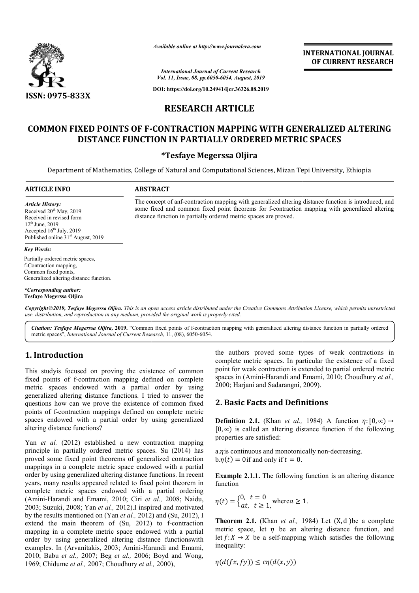

*Available online at http://www.journalcra.com*

**INTERNATIONAL JOURNAL OF CURRENT RESEARCH**

*International Journal of Current Research Vol. 11, Issue, 08, pp.6050-6054, August, 2019*

**DOI: https://doi.org/10.24941/ijcr.36326.08.2019**

# **RESEARCH ARTICLE**

# COMMON FIXED POINTS OF F-CONTRACTION MAPPING WITH GENERALIZED ALTERING **DISTANCE FUNCTION IN PARTIALLY ORDERED METRIC SPACES**

### **\*Tesfaye Megerssa Oljira**

Department of Mathematics, College of Natural and Computational Sciences, Mizan Tepi University, Ethiopia Ethiopia

distance function in partially ordered metric spaces are proved.

#### **ARTICLE INFO ABSTRACT**

*Article History:* Received 20<sup>th</sup> May, 2019 Received in revised form 12th June, 2019 Accepted  $16<sup>th</sup>$  July, 2019 Published online 31<sup>st</sup> August, 2019

#### *Key Words:*

Partially ordered metric spaces, f-Contraction mapping, Common fixed points, Generalized altering distance function.

*\*Corresponding author:*  **Tesfaye Megerssa Oljira**

Copyright©2019, Tesfaye Megerssa Oljira. This is an open access article distributed under the Creative Commons Attribution License, which permits unrestrictea *use, distribution, and reproduction in any medium, provided the original work is properly cited.*

Citation: Tesfaye Megerssa Oljira, 2019. "Common fixed points of f-contraction mapping with generalized altering distance function in partially ordered metric spaces", *International Journal of Current Research* , 11, (08), 6050-6054.

## **1. Introduction**

This studyis focused on proving the existence of common fixed points of f-contraction mapping defined on complete fixed points of f-contraction mapping defined on complete metric spaces endowed with a partial order by using generalized altering distance functions. I tried to answer the questions how can we prove the existence of common fixed points of f-contraction mappings defined on complete metric spaces endowed with a partial order by using generalized altering distance functions? contraction mappings defined on complete metric<br>owed with a partial order by using generalized<br>ance functions?<br>(2012) established a new contraction mapping<br>(2014) has

Yan *et al.* (2012) established a new contraction mapping principle in partially ordered metric spaces. Su proved some fixed point theorems of generalized contraction mappings in a complete metric space endowed with a partial order by using generalized altering distance functions. In recent years, many results appeared related to fixed point theorem in complete metric spaces endowed with a partial ordering (Amini-Harandi and Emami, 2010; Ciri *et al.,*  2008; Naidu, 2003; Suzuki, 2008; Yan *et al.,* 2012).I inspired and motivated 2003; Suzuki, 2008; Yan *et al.*, 2012). I inspired and motivated by the results mentioned on (Yan *et al.*, 2012) and (Su, 2012), I extend the main theorem of  $(Su, 2012)$  to f-contraction mapping in a complete metric space endowed with a partial order by using generalized altering distance functionswith examples. In (Arvanitakis, 2003; Amini-Harandi Harandi and Emami, 2010; Babu *et al.,* 2007; Beg *et al.,* 2006; Boyd and Wong, 1969; Chidume *et al.,* 2007; Choudhury *et al.,*  2000),

the authors proved some types of weak contractions in complete metric spaces. In particular the existence of a fixed point for weak contraction is extended to partial ordered metric complete metric spaces. In particular the existence of a fixed point for weak contraction is extended to partial ordered metric spaces in (Amini-Harandi and Emami, 2010; Choudhury *et al.*, 2000; Harjani and Sadarangni, 2009 , 2009). **INTERNATIONAL JOURNAL**<br> **OF CURRENT RESEARCH**<br> **OF CURRENT RESEARCH**<br> **OF CURRENT RESEARCH**<br> **ETRIC SPACES**<br> **Mizan Tepi University, Ethiopia**<br> **Alatering distance function is introduced, and<br>
turation mapping with gener** 

## **2. Basic Facts and Definitions**

The concept of anf-contraction mapping with generalized altering distance function is introduced, and The concept of anf-contraction mapping with generalized altering distance function is introduced, and some fixed and common fixed point theorems for f-contraction mapping with generalized altering

> **Definition 2.1.** (Khan *et al.,* 1984) A function  $\eta: [0, \infty) \rightarrow$ [0, *∞*) is called an altering distance function if the following properties are satisfied:  $[0, \infty)$  is called an altering distance function if the properties are satisfied:<br>a.*n* is continuous and monotonically non-decreasing.

 $b.\eta(t) = 0$  if and only if  $t = 0$ .

**Example 2.1.1.** The following function is an altering distance function

$$
\eta(t) = \begin{cases} 0, & t = 0 \\ at, & t \ge 1, \end{cases}
$$
 where  $a \ge 1$ .

**Theorem 2.1.** (Khan *et al.,* 1984) 1984) Let (X, d )be a complete metric space, let  $\eta$  be an altering distance function, and let  $f: X \to X$  be a self-mapping which satisfies the following inequality:

$$
\eta(d(fx, fy)) \leq c\eta(d(x, y))
$$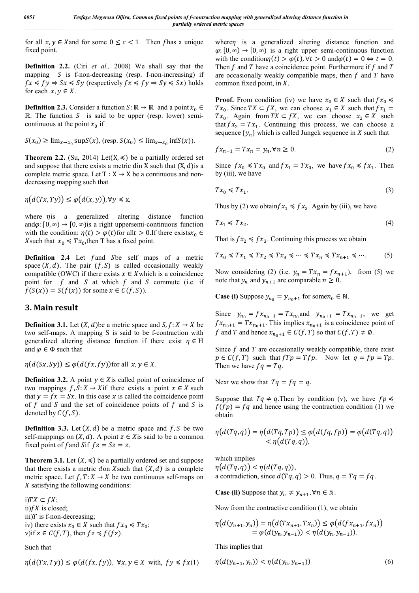for all  $x, y \in X$  and for some  $0 \leq c < 1$ . Then f has a unique fixed point.

**Definition 2.2.** (Ciri *et al.,* 2008) We shall say that the mapping  $\overline{S}$  is f-non-decreasing (resp. f-non-increasing) if  $fx \leq fy \Rightarrow Sx \leq Sy$  (respectively  $fx \leq fy \Rightarrow Sy \leq Sx$ ) holds for each  $x, y \in X$ .

**Definition 2.3.** Consider a function  $S: \mathbb{R} \to \mathbb{R}$  and a point  $x_0 \in$  $\mathbb{R}$ . The function S is said to be upper (resp. lower) semicontinuous at the point  $x_0$  if

$$
S(x_0) \ge \lim_{x \to x_0} \sup S(x), \text{ (resp. } S(x_0) \le \lim_{x \to x_0} \inf S(x)).
$$

**Theorem 2.2.** (Su, 2014) Let(X,  $\leq$ ) be a partially ordered set and suppose that there exists a metric din  $X$  such that  $(X, d)$  is a complete metric space. Let  $T : X \to X$  be a continuous and nondecreasing mapping such that

 $\eta(d(Tx, Ty)) \leq \varphi(d(x, y)), \forall y \leq x,$ 

where  $\eta$  is a generalized altering distance function and $\varphi$ : [0, ∞) → [0, ∞)is a right uppersemi-continuous function with the condition:  $\eta(t) > \varphi(t)$  for all  $t > 0$ . If there exists  $x_0 \in$ X such that  $x_0 \leq T x_0$ , then T has a fixed point.

**Definition 2.4** Let f and Sbe self maps of a metric space  $(X, d)$ . The pair  $(f, S)$  is called occasionally weakly compatible (OWC) if there exists  $x \in X$  which is a coincidence point for  $f$  and  $S$  at which  $f$  and  $S$  commute (i.e. if  $f(S(x)) = S(f(x))$  for some  $x \in C(f, S)$ .

## **3. Main result**

**Definition 3.1.** Let  $(X, d)$  be a metric space and  $S, f: X \rightarrow X$  be two self-maps. A mapping S is said to be f-contraction with generalized altering distance function if there exist  $\eta \in H$ and  $\varphi \in \Phi$  such that

 $\eta(d(Sx, Sy)) \leq \varphi(d(fx, fy))$  for all  $x, y \in X$ .

**Definition 3.2.** A point  $y \in X$  is called point of coincidence of two mappings  $f, S: X \to X$  if there exists a point  $x \in X$  such that  $y = fx = Sx$ . In this case x is called the coincidence point of  $f$  and  $S$  and the set of coincidence points of  $f$  and  $S$  is denoted by  $C(f, S)$ .

**Definition 3.3.** Let  $(X, d)$  be a metric space and  $f, S$  be two self-mappings on  $(X, d)$ . A point  $z \in X$  is said to be a common fixed point of f and Sif  $fz = Sz = z$ .

**Theorem 3.1.** Let  $(X, \leq)$  be a partially ordered set and suppose that there exists a metric don X such that  $(X, d)$  is a complete metric space. Let  $f, T: X \to X$  be two continuous self-maps on  $X$  satisfying the following conditions:

i)  $TX \subset fX$ ; ii)  $fX$  is closed; iii) $T$  is f-non-decreasing; iv) there exists  $x_0 \in X$  such that  $fx_0 \leq Tx_0$ ; v)if  $z \in C(f,T)$ , then  $fz \leq f(fz)$ .

Such that

$$
\eta(d(Tx,Ty)) \le \varphi(d(fx,fy)), \ \forall x, y \in X \ \text{with, } fy \le fx(1)
$$

where $\eta$  is a generalized altering distance function and  $\varphi$ : [0, ∞) → [0, ∞) is a right upper semi-continuous function with the condition $\eta(t) > \varphi(t)$ ,  $\forall t > 0$  and  $\varphi(t) = 0 \Leftrightarrow t = 0$ . Then  $f$  and  $T$  have a coincidence point. Furthermore if  $f$  and  $T$ are occasionally weakly compatible maps, then  $f$  and  $T$  have common fixed point, in  $X$ .

**Proof.** From condition (iv) we have  $x_0 \in X$  such that  $fx_0 \leq$  $Tx_0$ . Since  $TX \subset fX$ , we can choose  $x_1 \in X$  such that  $fx_1 =$  $Tx_0$ . Again from  $TX \subset fX$ , we can choose  $x_2 \in X$  such that  $fx_2 = Tx_1$ . Continuing this process, we can choose a sequence  $\{y_n\}$  which is called Jungck sequence in X such that

$$
fx_{n+1} = Tx_n = y_n, \forall n \ge 0. \tag{2}
$$

Since  $fx_0 \preccurlyeq Tx_0$  and  $fx_1 = Tx_0$ , we have  $fx_0 \preccurlyeq fx_1$ . Then by (iii), we have

$$
Tx_0 \le Tx_1. \tag{3}
$$

Thus by (2) we obtain  $fx_1 \leq fx_2$ . Again by (iii), we have

$$
Tx_1 \leq Tx_2. \tag{4}
$$

That is  $fx_2 \leq fx_3$ . Continuing this process we obtain

$$
Tx_0\preccurlyeq Tx_1\preccurlyeq Tx_2\preccurlyeq Tx_3\preccurlyeq \cdots\preccurlyeq Tx_n\preccurlyeq Tx_{n+1}\preccurlyeq \cdots. \hspace{1cm} (5)
$$

Now considering (2) (i.e.  $y_n = Tx_n = fx_{n+1}$ ), from (5) we note that  $y_n$  and  $y_{n+1}$  are comparable  $n \geq 0$ .

**Case (i)** Suppose  $y_{n_0} = y_{n_0+1}$  for some  $n_0 \in \mathbb{N}$ .

Since  $y_{n_0} = fx_{n_0+1} = Tx_{n_0}$  and  $y_{n_0+1} = Tx_{n_0+1}$ , we get  $f x_{n_0+1} = T x_{n_0+1}$ . This implies  $x_{n_0+1}$  is a coincidence point of f and T and hence  $x_{n_0+1} \in C(f,T)$  so that  $C(f,T) \neq \emptyset$ .

Since  $f$  and  $T$  are occasionally weakly compatible, there exist  $p \in C(f,T)$  such that  $fTp = Tfp$ . Now let  $q = fp = Tp$ . Then we have  $fq = Tq$ .

Next we show that  $Tq = fq = q$ .

Suppose that  $Tq \neq q$ . Then by condition (v), we have  $fp \leq$  $f(fp) = fq$  and hence using the contraction condition (1) we obtain

$$
\eta(d(Tq,q)) = \eta(d(Tq,Tp)) \le \varphi(d(fq,fp)) = \varphi(d(Tq,q)) \n< \eta(d(Tq,q)),
$$

which implies  $\eta(d(Tq, q)) < \eta(d(Tq, q)),$ a contradiction, since  $d(Tq, q) > 0$ . Thus,  $q = Tq = fq$ .

**Case (ii)** Suppose that  $y_n \neq y_{n+1}$ ,  $\forall n \in \mathbb{N}$ .

Now from the contractive condition (1), we obtain

$$
\eta(d(y_{n+1}, y_n)) = \eta(d(Tx_{n+1}, Tx_n)) \le \varphi(d(fx_{n+1}, fx_n))
$$
  
=  $\varphi(d(y_n, y_{n-1})) < \eta(d(y_n, y_{n-1})).$ 

This implies that

$$
\eta(d(y_{n+1}, y_n)) < \eta(d(y_n, y_{n-1}))
$$
\n(6)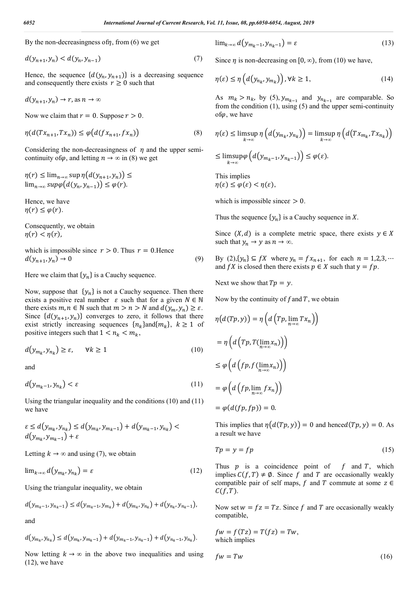By the non-decreasingness of  $\eta$ , from (6) we get

$$
d(y_{n+1}, y_n) < d(y_n, y_{n-1}) \tag{7}
$$

Hence, the sequence  $\{d(y_n, y_{n+1})\}$  is a decreasing sequence and consequently there exists  $r \geq 0$  such that

$$
d(y_{n+1}, y_n) \to r, \text{ as } n \to \infty
$$

Now we claim that  $r = 0$ . Suppose  $r > 0$ .

$$
\eta(d(Tx_{n+1}, Tx_n)) \le \varphi\big(d(fx_{n+1}, fx_n)\big) \tag{8}
$$

Considering the non-decreasingness of  $\eta$  and the upper semicontinuity of  $\varphi$ , and letting  $n \to \infty$  in (8) we get

$$
\eta(r) \le \lim_{n \to \infty} \sup \eta(d(y_{n+1}, y_n)) \le \lim_{n \to \infty} \sup \varphi(d(y_n, y_{n-1})) \le \varphi(r).
$$

Hence, we have  $\eta(r) \leq \varphi(r)$ .

Consequently, we obtain  $\eta(r) < \eta(r)$ ,

which is impossible since  $r > 0$ . Thus  $r = 0$ . Hence  $d(y_{n+1}, y_n) \to 0$  (9)

Here we claim that  $\{y_n\}$  is a Cauchy sequence.

Now, suppose that  $\{y_n\}$  is not a Cauchy sequence. Then there exists a positive real number  $\varepsilon$  such that for a given  $N \in \mathbb{N}$ there exists  $m, n \in \mathbb{N}$  such that  $m > n > N$  and  $d(y_m, y_n) \ge \varepsilon$ . Since  $\{d(y_{n+1}, y_n)\}\)$  converges to zero, it follows that there exist strictly increasing sequences  ${n_k}$  and  ${m_k}$ ,  $k \ge 1$  of positive integers such that  $1 < n_k < m_k$ ,

$$
d(y_{m_k}, y_{n_k}) \ge \varepsilon, \qquad \forall k \ge 1 \tag{10}
$$

and

$$
d(y_{m_k-1}, y_{n_k}) < \varepsilon \tag{11}
$$

Using the triangular inequality and the conditions (10) and (11) we have

$$
\varepsilon \le d(y_{m_k}, y_{n_k}) \le d(y_{m_k}, y_{m_k-1}) + d(y_{m_k-1}, y_{n_k}) < d(y_{m_k}, y_{m_k-1}) + \varepsilon
$$

Letting  $k \to \infty$  and using (7), we obtain

$$
\lim_{k \to \infty} d\big(\mathbf{y}_{m_k}, \mathbf{y}_{n_k}\big) = \varepsilon \tag{12}
$$

Using the triangular inequality, we obtain

$$
d(y_{m_k-1}, y_{n_k-1}) \le d(y_{m_k-1}, y_{m_k}) + d(y_{m_k}, y_{n_k}) + d(y_{n_k}, y_{n_k-1}),
$$

and

$$
d(y_{m_k}, y_{n_k}) \le d(y_{m_k}, y_{m_k-1}) + d(y_{m_k-1}, y_{n_k-1}) + d(y_{n_k-1}, y_{n_k}).
$$

Now letting  $k \to \infty$  in the above two inequalities and using (12), we have

$$
\lim_{k \to \infty} d(y_{m_k - 1}, y_{n_k - 1}) = \varepsilon \tag{13}
$$

Since  $\eta$  is non-decreasing on [0,  $\infty$ ), from (10) we have,

$$
\eta(\varepsilon) \le \eta\left(d\left(y_{n_k}, y_{m_k}\right)\right), \forall k \ge 1,\tag{14}
$$

As  $m_k > n_k$ , by (5),  $y_{m_{k-1}}$  and  $y_{n_{k-1}}$  are comparable. So from the condition  $(1)$ , using  $(5)$  and the upper semi-continuity of $\varphi$ , we have

$$
\eta(\varepsilon) \le \limsup_{k \to \infty} \eta\left(d\left(y_{m_k}, y_{n_k}\right)\right) = \limsup_{k \to \infty} \eta\left(d\left(Tx_{m_k}, Tx_{n_k}\right)\right)
$$
  

$$
\le \limsup_{k \to \infty} \varphi\left(d\left(y_{m_k-1}, y_{n_k-1}\right)\right) \le \varphi(\varepsilon).
$$

This implies  $\eta(\varepsilon) \leq \varphi(\varepsilon) < \eta(\varepsilon),$ 

which is impossible since  $\epsilon > 0$ .

Thus the sequence  $\{y_n\}$  is a Cauchy sequence in X.

Since  $(X, d)$  is a complete metric space, there exists  $y \in X$ such that  $y_n \to y$  as  $n \to \infty$ .

By  $(2), \{y_n\} \subseteq fX$  where  $y_n = fx_{n+1}$ , for each  $n = 1, 2, 3, \dots$ and  $fX$  is closed then there exists  $p \in X$  such that  $y = fp$ .

Next we show that  $Tp = y$ .

Now by the continuity of  $f$  and  $T$ , we obtain

$$
\eta(d(Tp, y)) = \eta\left(d\left(Tp, \lim_{n \to \infty} Tx_n\right)\right)
$$

$$
= \eta\left(d\left(Tp, T(\lim_{n \to \infty} x_n)\right)\right)
$$

$$
\leq \varphi\left(d\left(fp, f(\lim_{n \to \infty} x_n)\right)\right)
$$

$$
= \varphi\left(d\left(fp, \lim_{n \to \infty} fx_n\right)\right)
$$

$$
= \varphi(d(fp, fp)) = 0.
$$

This implies that  $\eta(d(Tp, y)) = 0$  and hence  $d(Tp, y) = 0$ . As a result we have

$$
Tp = y = fp \tag{15}
$$

Thus  $p$  is a coincidence point of  $f$  and  $T$ , which implies  $C(f, T) \neq \emptyset$ . Since f and T are occasionally weakly compatible pair of self maps, f and T commute at some  $z \in$  $C(f, T)$ .

Now set  $w = fz = Tz$ . Since f and T are occasionally weakly compatible,

$$
fw = f(Tz) = T(fz) = Tw,
$$
  
which implies

$$
fw = Tw \tag{16}
$$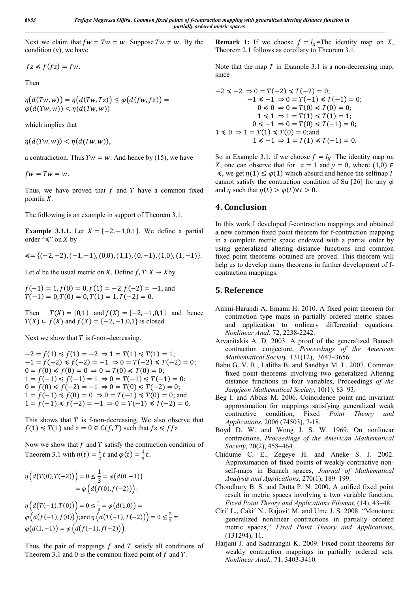Next we claim that  $fw = Tw = w$ . Suppose  $Tw \neq w$ . By the condition (v), we have

$$
fz \leq f(fz) = fw.
$$

Then

$$
\eta(d(Tw, w)) = \eta(d(Tw, Tz)) \le \varphi(d(fw, fz)) = \varphi(d(Tw, w)) < \eta(d(Tw, w))
$$

which implies that

 $\eta(d(Tw, w)) < \eta(d(Tw, w)),$ 

a contradiction. Thus  $Tw = w$ . And hence by (15), we have

 $fw = Tw = w$ .

Thus, we have proved that  $f$  and  $T$  have a common fixed pointin  $X$ .

The following is an example in support of Theorem 3.1.

**Example 3.1.1.** Let  $X = \{-2, -1, 0, 1\}$ . We define a partial order " $\leq$ " on *X* by

 $\leq$  = {(-2, -2), (-1, -1), (0,0), (1,1), (0, -1), (1,0), (1, -1)}.

Let *d* be the usual metric on *X*. Define  $f, T: X \rightarrow X$  by

 $f(-1) = 1, f(0) = 0, f(1) = -2, f(-2) = -1$ , and  $T(-1) = 0, T(0) = 0, T(1) = 1, T(-2) = 0.$ 

Then  $T(X) = \{0,1\}$  and  $f(X) = \{-2, -1, 0, 1\}$  and hence  $T(X) \subset f(X)$  and  $f(X) = \{-2, -1, 0, 1\}$  is closed.

Next we show that  $T$  is f-non-decreasing.

 $-2 = f(1) \le f(1) = -2 \Rightarrow 1 = T(1) \le T(1) = 1;$  $-1 = f(-2) \le f(-2) = -1 \Rightarrow 0 = T(-2) \le T(-2) = 0;$  $0 = f(0) \le f(0) = 0 \Rightarrow 0 = T(0) \le T(0) = 0;$  $1 = f(-1) \le f(-1) = 1 \Rightarrow 0 = T(-1) \le T(-1) = 0;$  $0 = f(0) \le f(-2) = -1 \Rightarrow 0 = T(0) \le T(-2) = 0;$  $1 = f(-1) \le f(0) = 0 \Rightarrow 0 = T(-1) \le T(0) = 0$ ; and  $1 = f(-1) \le f(-2) = -1 \Rightarrow 0 = T(-1) \le T(-2) = 0.$ 

This shows that  $T$  is f-non-decreasing. We also observe that  $f(1) \leq T(1)$  and  $z = 0 \in C(f,T)$  such that  $f z \leq f f z$ .

Now we show that  $f$  and  $T$  satisfy the contraction condition of Theorem 3.1 with  $\eta(t) = \frac{1}{2}t$  and  $\varphi(t) = \frac{1}{3}t$ .

$$
\eta\left(d\big(T(0), T(-2)\big)\right) = 0 \le \frac{1}{3} = \varphi\big(d(0, -1)\big) \n= \varphi\big(d\big(f(0), f(-2)\big)\big); \n\eta\big(d\big(T(-1), T(0)\big)\big) = 0 \le \frac{1}{3} = \varphi\big(d(1, 0)\big) = \n\varphi\big(d\big(f(-1), f(0)\big)\big); \text{and } \eta\big(d\big(T(-1), T(-2)\big)\big) = 0 \le \frac{2}{3} = \n\varphi\big(d(1, -1)\big) = \varphi\big(d\big(f(-1), f(-2)\big)\big).
$$

Thus, the pair of mappings  $f$  and  $T$  satisfy all conditions of Theorem 3.1 and 0 is the common fixed point of  $f$  and  $T$ .

**Remark 1:** If we choose  $f = I_x$ =The identity map on X, Theorem 2.1 follows as corollary to Theorem 3.1.

Note that the map  $T$  in Example 3.1 is a non-decreasing map, since

$$
-2 \le -2 \Rightarrow 0 = T(-2) \le T(-2) = 0;
$$
  
\n
$$
-1 \le -1 \Rightarrow 0 = T(-1) \le T(-1) = 0;
$$
  
\n
$$
0 \le 0 \Rightarrow 0 = T(0) \le T(0) = 0;
$$
  
\n
$$
1 \le 1 \Rightarrow 1 = T(1) \le T(1) = 1;
$$
  
\n
$$
0 \le -1 \Rightarrow 0 = T(0) \le T(-1) = 0;
$$
  
\n
$$
1 \le 0 \Rightarrow 1 = T(1) \le T(0) = 0;
$$
  
\n
$$
1 \le -1 \Rightarrow 1 = T(1) \le T(-1) = 0.
$$

So in Example 3.1, if we choose  $f = I_x$ =The identity map on X, one can observe that for  $x = 1$  and  $y = 0$ , where  $(1,0) \in$  $\leq$ , we get  $η(1) ≤ φ(1)$  which absurd and hence the selfmap T cannot satisfy the contraction condition of Su [26] for any  $\varphi$ and  $\eta$  such that  $\eta(t) > \varphi(t)\forall t > 0$ .

### **4. Conclusion**

In this work I developed f-contraction mappings and obtained a new common fixed point theorem for f-contraction mapping in a complete metric space endowed with a partial order by using generalized altering distance functions and common fixed point theorems obtained are proved. This theorem will help us to develop many theorems in further development of fcontraction mappings.

## **5. Reference**

- Amini-Harandi A. Emami H. 2010. A fixed point theorem for contraction type maps in partially ordered metric spaces and application to ordinary differential equations. *Nonlinear Anal.* 72, 2238-2242.
- Arvanitakis A. D. 2003. A proof of the generalized Banach contraction conjecture, *Proceedings of the American Mathematical Society,* 131(12), 3647–3656.
- Babu G. V. R., Lalitha B. and Sandhya M. L. 2007. Common fixed point theorems involving two generalized Altering distance functions in four variables, Proceedings *of the Jangjeon Mathematical Society*, 10(1), 83–93.
- Beg I. and Abbas M. 2006. Coincidence point and invariant approximation for mappings satisfying generalized weak contractive condition, Fixed *Point Theory and Applications*, 2006 (74503), 7-18.
- Boyd D. W. and Wong J. S. W. 1969. On nonlinear contractions, *Proceedings of the American Mathematical Society*, 20(2), 458–464.
- Chidume C. E., Zegeye H. and Aneke S. J. 2002. Approximation of fixed points of weakly contractive nonself-maps in Banach spaces, *Journal of Mathematical Analysis and Applications*, 270(1), 189–199.
- Choudhury B. S. and Dutta P. N. 2000. A unified fixed point result in metric spaces involving a two variable function, *Fixed Point Theory and Applications Filomat*, (14), 43–48.
- Ciri´ L., Caki´ N., Rajovi´ M. and Ume J. S. 2008. "Monotone generalized nonlinear contractions in partially ordered metric spaces," *Fixed Point Theory and Applications*, (131294), 11.
- Harjani J. and Sadarangni K. 2009. Fixed point theorems for weakly contraction mappings in partially ordered sets. *Nonlinear Anal.,* 71, 3403-3410.